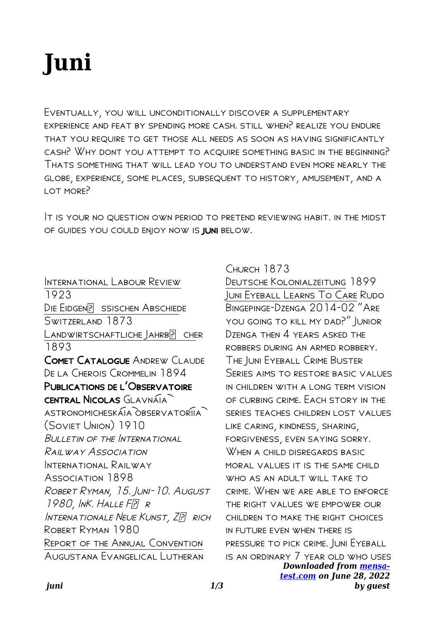## **Juni**

Eventually, you will unconditionally discover a supplementary experience and feat by spending more cash. still when? realize you endure that you require to get those all needs as soon as having significantly cash? Why dont you attempt to acquire something basic in the beginning? Thats something that will lead you to understand even more nearly the globe, experience, some places, subsequent to history, amusement, and a lot more?

It is your no question own period to pretend reviewing habit. in the midst of guides you could enjoy now is juni below.

International Labour Review 1923 DIE EIDGEN? SSISCHEN ABSCHIEDE Switzerland 1873 LANDWIRTSCHAFTLICHE JAHRBP CHER 1893 Comet Catalogue Andrew Claude De la Cherois Crommelin 1894 PUBLICATIONS DE L'OBSERVATOIRE CENTRAL NICOLAS GLAVNAIA ASTRONOMICHESKAIA OBSERVATORIIA (Soviet Union) 1910 Bulletin of the International Railway Association INTERNATIONAL RAILWAY Association 1898 Robert Ryman, 15. Juni-10. August  $1980$ , INK. HALLE FP R INTERNATIONALE NEUE KUNST, ZP RICH ROBERT RYMAN 1980 Report of the Annual Convention Augustana Evangelical Lutheran

Church 1873

*Downloaded from [mensa-](https://mensa-test.com)*Deutsche Kolonialzeitung 1899 Juni Eyeball Learns To Care Rudo Bingepinge-Dzenga 2014-02 "Are you going to kill my dad?" Junior  $D$ zenga then  $\Delta$  years asked the robbers during an armed robbery. The Juni Eyeball Crime Buster Series aims to restore basic values in children with a long term vision of curbing crime. Each story in the series teaches children lost values like caring, kindness, sharing, forgiveness, even saying sorry. WHEN A CHILD DISREGARDS BASIC MORAL VALUES IT IS THE SAME CHILD WHO AS AN ADULT WILL TAKE TO crime. When we are able to enforce the right values we empower our children to make the right choices in future even when there is pressure to pick crime. Juni Eyeball is an ordinary 7 year old who uses

*[test.com](https://mensa-test.com) on June 28, 2022 by guest*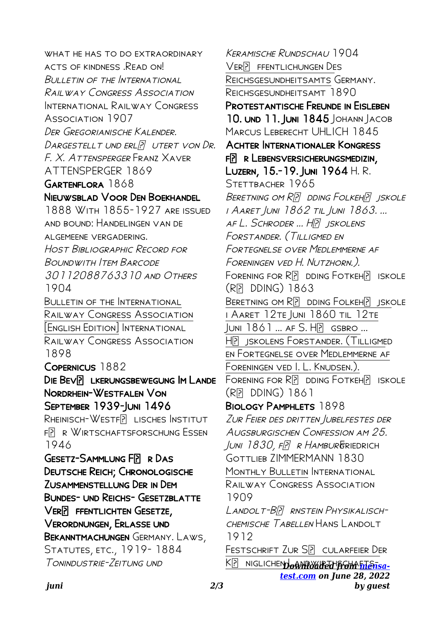WHAT HE HAS TO DO EXTRAORDINARY ACTS OF KINDNESS READ ON Bulletin of the International Railway Congress Association INTERNATIONAL RAILWAY CONGRESS Association 1907 Der Gregorianische Kalender. DARGESTELLT UND ERLP UTERT VON DR. F. X. Attensperger Franz Xaver ATTENSPERGER 1869 GARTENFLORA 1868 Nieuwsblad Voor Den Boekhandel 1888 With 1855-1927 are issued and bound: Handelingen van de algemeene vergadering. Host Bibliographic Record for Boundwith Item Barcode 30112088763310 and Others 1904 Bulletin of the International Railway Congress Association [English Edition] International Railway Congress Association 1898 Copernicus 1882 DIE BEVP LKERUNGSBEWEGUNG IM LANDE Nordrhein-Westfalen Von September 1939-Juni 1496 RHEINISCH-WESTFP LISCHES INSTITUT FR R WIRTSCHAFTSFORSCHUNG ESSEN 1946 GESETZ-SAMMLUNG FP R DAS Deutsche Reich; Chronologische Zusammenstellung Der in Dem Bundes- und Reichs- Gesetzblatte VER**P** FFENTLICHTEN GESETZE, Verordnungen, Erlasse und Bekanntmachungen Germany. Laws, Statutes, etc., 1919- 1884 Tonindustrie-Zeitung und

K<sub>L</sub> NIGLICHEN **JOANT WIRTH FOM FILETISA***[test.com](https://mensa-test.com) on June 28, 2022* Keramische Rundschau 1904 VERP FFENTLICHUNGEN DES Reichsgesundheitsamts Germany. Reichsgesundheitsamt 1890 Protestantische Freunde in Eisleben 10. UND 11. JUNI 1845 JOHANN JACOB MARCUS LEBERECHT UHLICH 1845 Achter Internationaler Kongress FR R LEBENSVERSICHERUNGSMEDIZIN. Luzern, 15.-19. Juni 1964 H. R. STETTBACHER 1965 BERETNING OM RP DDING FOLKEHP JSKOLE i Aaret Juni 1862 til Juni 1863. ... af L. Schroder ... HP ISKOLENS Forstander. (Tilligmed en Fortegnelse over Medlemmerne af Foreningen ved H. Nutzhorn.). FORENING FOR RD DDING FOTKEHP ISKOLE  $(RP<sub>P</sub>$  DDING) 1863 BERETNING OM R**P** DDING FOLKEHP ISKOLE i Aaret 12te Juni 1860 til 12te  $IUNI$   $1861$  ...  $AFS$ .  $H\overline{P}$   $GSBRO$  ... Hjskolens Forstander. (Tilligmed en Fortegnelse over Medlemmerne af Foreningen ved I. L. Knudsen.).  $F$ ORENING FOR R $\overline{P}$  DDING FOTKEH $\overline{P}$  ISKOLE  $(RP<sub>P</sub>$  DDING) 1861 BIOLOGY PAMPHLETS 1898 Zur Feier des dritten Jubelfestes der Augsburgischen Confession am 25.  $JUNI$   $1830$ ,  $FPTR$  R HAMBURG RIEDRICH GOTTLIEB ZIMMERMANN 1830 MONTHLY BULLETIN INTERNATIONAL Railway Congress Association 1909 LANDOLT-BP RNSTEIN PHYSIKALISCH-CHEMISCHE TABELLEN HANS LANDOLT 1912 FESTSCHRIFT ZUR S**P** CULARFEIER DER

*by guest*